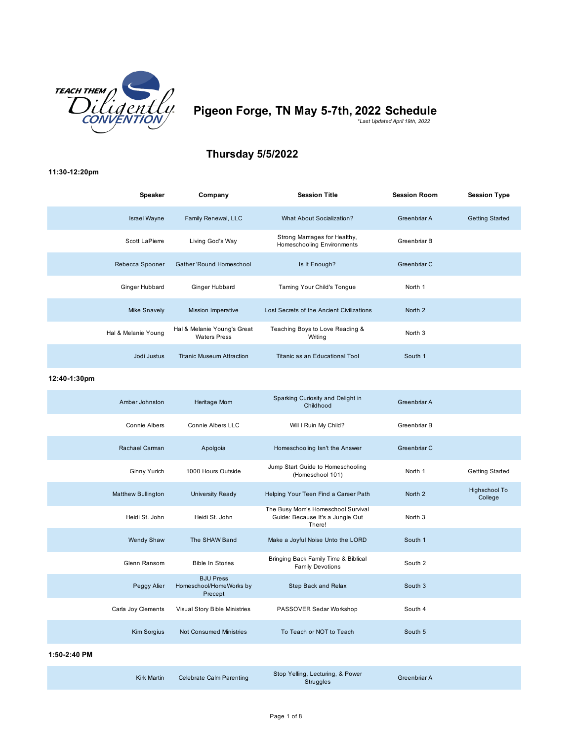

# **Pigeon Forge, TN May 5-7th, 2022 Schedule** *\*Last Updated April 19th, 2022*

## **Thursday 5/5/2022**

### **11:30-12:20pm**

| <b>Speaker</b>      | Company                                            | <b>Session Title</b>                                        | <b>Session Room</b> | <b>Session Type</b>    |
|---------------------|----------------------------------------------------|-------------------------------------------------------------|---------------------|------------------------|
| <b>Israel Wayne</b> | Family Renewal, LLC                                | <b>What About Socialization?</b>                            | Greenbriar A        | <b>Getting Started</b> |
| Scott LaPierre      | Living God's Way                                   | Strong Marriages for Healthy,<br>Homeschooling Environments | Greenbriar B        |                        |
| Rebecca Spooner     | Gather 'Round Homeschool                           | Is It Enough?                                               | Greenbriar C        |                        |
| Ginger Hubbard      | Ginger Hubbard                                     | Taming Your Child's Tongue                                  | North 1             |                        |
| <b>Mike Snavely</b> | <b>Mission Imperative</b>                          | Lost Secrets of the Ancient Civilizations                   | North 2             |                        |
| Hal & Melanie Young | Hal & Melanie Young's Great<br><b>Waters Press</b> | Teaching Boys to Love Reading &<br>Writing                  | North <sub>3</sub>  |                        |
| Jodi Justus         | <b>Titanic Museum Attraction</b>                   | Titanic as an Educational Tool                              | South 1             |                        |

### **12:40-1:30pm**

| Amber Johnston            | Heritage Mom                                           | Sparking Curiosity and Delight in<br>Childhood                                   | Greenbriar A       |                          |
|---------------------------|--------------------------------------------------------|----------------------------------------------------------------------------------|--------------------|--------------------------|
| <b>Connie Albers</b>      | <b>Connie Albers LLC</b>                               | Will I Ruin My Child?                                                            | Greenbriar B       |                          |
| Rachael Carman            | Apolgoia                                               | Homeschooling Isn't the Answer                                                   | Greenbriar C       |                          |
| Ginny Yurich              | 1000 Hours Outside                                     | Jump Start Guide to Homeschooling<br>(Homeschool 101)                            | North 1            | <b>Getting Started</b>   |
| <b>Matthew Bullington</b> | University Ready                                       | Helping Your Teen Find a Career Path                                             | North <sub>2</sub> | Highschool To<br>College |
| Heidi St. John            | Heidi St. John                                         | The Busy Mom's Homeschool Survival<br>Guide: Because It's a Jungle Out<br>There! | North <sub>3</sub> |                          |
| <b>Wendy Shaw</b>         | The SHAW Band                                          | Make a Joyful Noise Unto the LORD                                                | South 1            |                          |
| Glenn Ransom              | <b>Bible In Stories</b>                                | Bringing Back Family Time & Biblical<br><b>Family Devotions</b>                  | South 2            |                          |
| Peggy Alier               | <b>BJU Press</b><br>Homeschool/HomeWorks by<br>Precept | Step Back and Relax                                                              | South 3            |                          |
| Carla Joy Clements        | Visual Story Bible Ministries                          | PASSOVER Sedar Workshop                                                          | South 4            |                          |
| <b>Kim Sorgius</b>        | <b>Not Consumed Ministries</b>                         | To Teach or NOT to Teach                                                         | South 5            |                          |

### **1:50-2:40 PM**

| <b>Kirk Martin</b> | Celebrate Calm Parenting | Stop Yelling, Lecturing, & Power<br>Struggles | <b>Greenbriar A</b> |
|--------------------|--------------------------|-----------------------------------------------|---------------------|
|--------------------|--------------------------|-----------------------------------------------|---------------------|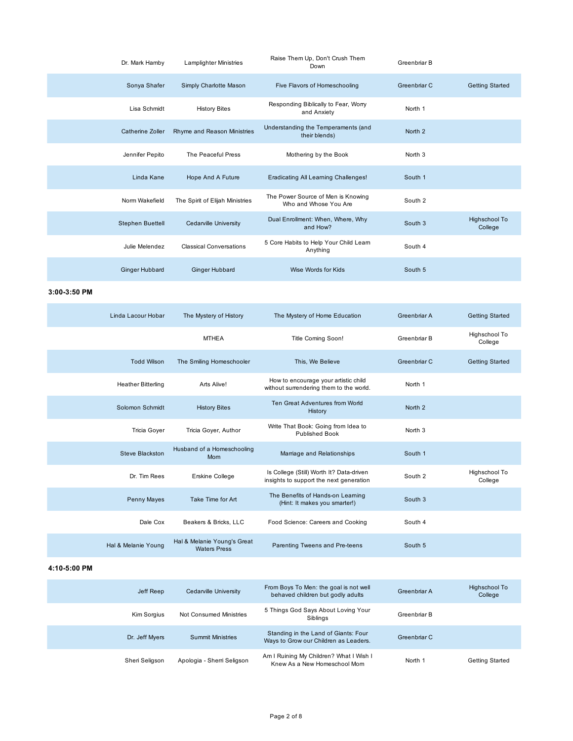| Dr. Mark Hamby          | <b>Lamplighter Ministries</b>   | Raise Them Up, Don't Crush Them<br>Down                     | Greenbriar B       |                          |
|-------------------------|---------------------------------|-------------------------------------------------------------|--------------------|--------------------------|
| Sonya Shafer            | Simply Charlotte Mason          | Five Flavors of Homeschooling                               | Greenbriar C       | <b>Getting Started</b>   |
| Lisa Schmidt            | <b>History Bites</b>            | Responding Biblically to Fear, Worry<br>and Anxiety         | North 1            |                          |
| Catherine Zoller        | Rhyme and Reason Ministries     | Understanding the Temperaments (and<br>their blends)        | North <sub>2</sub> |                          |
| Jennifer Pepito         | The Peaceful Press              | Mothering by the Book                                       | North <sub>3</sub> |                          |
| Linda Kane              | Hope And A Future               | Eradicating All Learning Challenges!                        | South 1            |                          |
| Norm Wakefield          | The Spirit of Elijah Ministries | The Power Source of Men is Knowing<br>Who and Whose You Are | South 2            |                          |
| <b>Stephen Buettell</b> | Cedarville University           | Dual Enrollment: When, Where, Why<br>and How?               | South 3            | Highschool To<br>College |
| Julie Melendez          | <b>Classical Conversations</b>  | 5 Core Habits to Help Your Child Learn<br>Anything          | South 4            |                          |
| <b>Ginger Hubbard</b>   | <b>Ginger Hubbard</b>           | Wise Words for Kids                                         | South 5            |                          |

**3:00-3:50 PM**

| Linda Lacour Hobar        | The Mystery of History                             | The Mystery of Home Education                                                       | Greenbriar A       | <b>Getting Started</b>   |
|---------------------------|----------------------------------------------------|-------------------------------------------------------------------------------------|--------------------|--------------------------|
|                           | <b>MTHEA</b>                                       | Title Coming Soon!                                                                  | Greenbriar B       | Highschool To<br>College |
| <b>Todd Wilson</b>        | The Smiling Homeschooler                           | This, We Believe                                                                    | Greenbriar C       | <b>Getting Started</b>   |
| <b>Heather Bitterling</b> | Arts Alive!                                        | How to encourage your artistic child<br>without surrendering them to the world.     | North 1            |                          |
| Solomon Schmidt           | <b>History Bites</b>                               | Ten Great Adventures from World<br>History                                          | North <sub>2</sub> |                          |
| Tricia Goyer              | Tricia Goyer, Author                               | Write That Book: Going from Idea to<br><b>Published Book</b>                        | North <sub>3</sub> |                          |
| Steve Blackston           | Husband of a Homeschooling<br><b>Mom</b>           | Marriage and Relationships                                                          | South 1            |                          |
| Dr. Tim Rees              | <b>Erskine College</b>                             | Is College (Still) Worth It? Data-driven<br>insights to support the next generation | South 2            | Highschool To<br>College |
| <b>Penny Mayes</b>        | Take Time for Art                                  | The Benefits of Hands-on Learning<br>(Hint: It makes you smarter!)                  | South 3            |                          |
| Dale Cox                  | Beakers & Bricks, LLC                              | Food Science: Careers and Cooking                                                   | South 4            |                          |
| Hal & Melanie Young       | Hal & Melanie Young's Great<br><b>Waters Press</b> | Parenting Tweens and Pre-teens                                                      | South 5            |                          |
|                           |                                                    |                                                                                     |                    |                          |

**4:10-5:00 PM**

| Jeff Reep      | Cedarville University      | From Boys To Men: the goal is not well<br>behaved children but godly adults   | Greenbriar A | Highschool To<br>College |
|----------------|----------------------------|-------------------------------------------------------------------------------|--------------|--------------------------|
| Kim Sorgius    | Not Consumed Ministries    | 5 Things God Says About Loving Your<br>Siblings                               | Greenbriar B |                          |
| Dr. Jeff Myers | <b>Summit Ministries</b>   | Standing in the Land of Giants: Four<br>Ways to Grow our Children as Leaders. | Greenbriar C |                          |
| Sheri Seligson | Apologia - Sherri Seligson | Am I Ruining My Children? What I Wish I<br>Knew As a New Homeschool Mom       | North 1      | Getting Started          |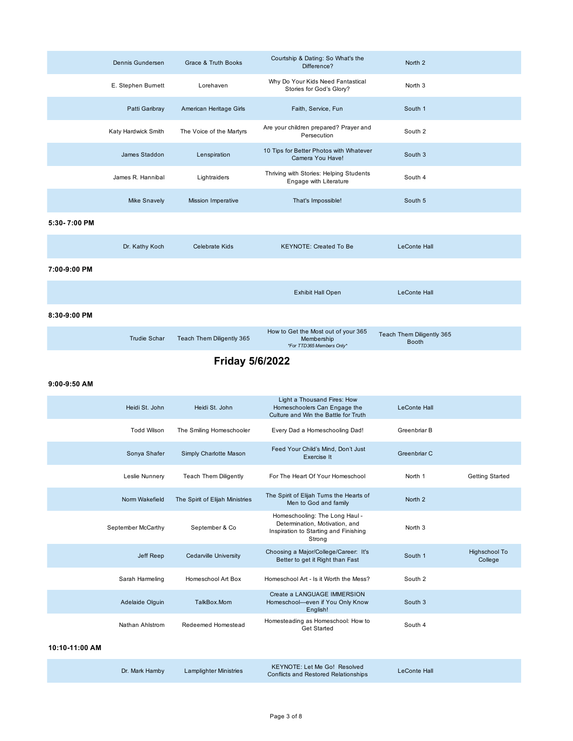|                        | Dennis Gundersen    | Grace & Truth Books       | Courtship & Dating: So What's the<br>Difference?                               | North <sub>2</sub>                        |  |
|------------------------|---------------------|---------------------------|--------------------------------------------------------------------------------|-------------------------------------------|--|
|                        | E. Stephen Burnett  | Lorehaven                 | Why Do Your Kids Need Fantastical<br>Stories for God's Glory?                  | North <sub>3</sub>                        |  |
|                        | Patti Garibray      | American Heritage Girls   | Faith, Service, Fun                                                            | South 1                                   |  |
|                        | Katy Hardwick Smith | The Voice of the Martyrs  | Are your children prepared? Prayer and<br>Persecution                          | South 2                                   |  |
|                        | James Staddon       | Lenspiration              | 10 Tips for Better Photos with Whatever<br>Camera You Have!                    | South 3                                   |  |
|                        | James R. Hannibal   | Lightraiders              | Thriving with Stories: Helping Students<br>Engage with Literature              | South 4                                   |  |
|                        | <b>Mike Snavely</b> | <b>Mission Imperative</b> | That's Impossible!                                                             | South 5                                   |  |
| 5:30-7:00 PM           |                     |                           |                                                                                |                                           |  |
|                        | Dr. Kathy Koch      | <b>Celebrate Kids</b>     | <b>KEYNOTE: Created To Be</b>                                                  | <b>LeConte Hall</b>                       |  |
| 7:00-9:00 PM           |                     |                           |                                                                                |                                           |  |
|                        |                     |                           | <b>Exhibit Hall Open</b>                                                       | <b>LeConte Hall</b>                       |  |
| 8:30-9:00 PM           |                     |                           |                                                                                |                                           |  |
|                        | <b>Trudie Schar</b> | Teach Them Diligently 365 | How to Get the Most out of your 365<br>Membership<br>*For TTD365 Members Only* | Teach Them Diligently 365<br><b>Booth</b> |  |
| <b>Friday 5/6/2022</b> |                     |                           |                                                                                |                                           |  |

### **9:00-9:50 AM**

| Heidi St. John     | Heidi St. John                  | Light a Thousand Fires: How<br>Homeschoolers Can Engage the<br>Culture and Win the Battle for Truth                 | <b>LeConte Hall</b> |                          |
|--------------------|---------------------------------|---------------------------------------------------------------------------------------------------------------------|---------------------|--------------------------|
| <b>Todd Wilson</b> | The Smiling Homeschooler        | Every Dad a Homeschooling Dad!                                                                                      | Greenbriar B        |                          |
| Sonya Shafer       | Simply Charlotte Mason          | Feed Your Child's Mind, Don't Just<br>Exercise It                                                                   | Greenbriar C        |                          |
| Leslie Nunnery     | <b>Teach Them Diligently</b>    | For The Heart Of Your Homeschool                                                                                    | North 1             | <b>Getting Started</b>   |
| Norm Wakefield     | The Spirit of Elijah Ministries | The Spirit of Elijah Turns the Hearts of<br>Men to God and family                                                   | North <sub>2</sub>  |                          |
| September McCarthy | September & Co                  | Homeschooling: The Long Haul -<br>Determination, Motivation, and<br>Inspiration to Starting and Finishing<br>Strong | North <sub>3</sub>  |                          |
| Jeff Reep          | Cedarville University           | Choosing a Major/College/Career: It's<br>Better to get it Right than Fast                                           | South 1             | Highschool To<br>College |
| Sarah Harmeling    | Homeschool Art Box              | Homeschool Art - Is it Worth the Mess?                                                                              | South 2             |                          |
| Adelaide Olguin    | TalkBox.Mom                     | Create a LANGUAGE IMMERSION<br>Homeschool-even if You Only Know<br>English!                                         | South 3             |                          |
| Nathan Ahlstrom    | Redeemed Homestead              | Homesteading as Homeschool: How to<br><b>Get Started</b>                                                            | South 4             |                          |
| 10:10-11:00 AM     |                                 |                                                                                                                     |                     |                          |

| amby | Lamplighter M |
|------|---------------|
|------|---------------|

Dr. Mark Hamby Lamplighter Ministries KEYNOTE: Let Me Go! Resolved LeConte Hall<br>Conflicts and Restored Relationships LeConte Hall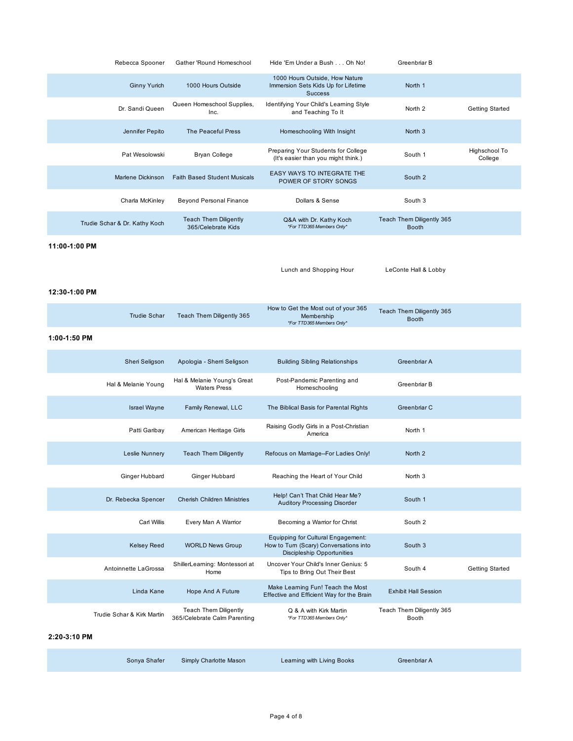| Rebecca Spooner               | Gather 'Round Homeschool                                     | Hide 'Em Under a Bush Oh No!                                                                                      | Greenbriar B                              |                          |
|-------------------------------|--------------------------------------------------------------|-------------------------------------------------------------------------------------------------------------------|-------------------------------------------|--------------------------|
| <b>Ginny Yurich</b>           | 1000 Hours Outside                                           | 1000 Hours Outside, How Nature<br>Immersion Sets Kids Up for Lifetime<br><b>Success</b>                           | North 1                                   |                          |
| Dr. Sandi Queen               | Queen Homeschool Supplies,<br>Inc.                           | Identifying Your Child's Learning Style<br>and Teaching To It                                                     | North <sub>2</sub>                        | <b>Getting Started</b>   |
| Jennifer Pepito               | The Peaceful Press                                           | Homeschooling With Insight                                                                                        | North 3                                   |                          |
| Pat Wesolowski                | <b>Bryan College</b>                                         | Preparing Your Students for College<br>(It's easier than you might think.)                                        | South 1                                   | Highschool To<br>College |
| Marlene Dickinson             | <b>Faith Based Student Musicals</b>                          | EASY WAYS TO INTEGRATE THE<br>POWER OF STORY SONGS                                                                | South 2                                   |                          |
| Charla McKinley               | <b>Beyond Personal Finance</b>                               | Dollars & Sense                                                                                                   | South 3                                   |                          |
| Trudie Schar & Dr. Kathy Koch | <b>Teach Them Diligently</b><br>365/Celebrate Kids           | Q&A with Dr. Kathy Koch<br>*For TTD365 Members Only*                                                              | Teach Them Diligently 365<br><b>Booth</b> |                          |
| 11:00-1:00 PM                 |                                                              |                                                                                                                   |                                           |                          |
|                               |                                                              | Lunch and Shopping Hour                                                                                           | LeConte Hall & Lobby                      |                          |
| 12:30-1:00 PM                 |                                                              |                                                                                                                   |                                           |                          |
| <b>Trudie Schar</b>           | Teach Them Diligently 365                                    | How to Get the Most out of your 365<br>Membership<br>*For TTD365 Members Only*                                    | Teach Them Diligently 365<br><b>Booth</b> |                          |
| 1:00-1:50 PM                  |                                                              |                                                                                                                   |                                           |                          |
| Sheri Seligson                | Apologia - Sherri Seligson                                   | <b>Building Sibling Relationships</b>                                                                             | Greenbriar A                              |                          |
| Hal & Melanie Young           | Hal & Melanie Young's Great<br><b>Waters Press</b>           | Post-Pandemic Parenting and<br>Homeschooling                                                                      | Greenbriar B                              |                          |
| <b>Israel Wayne</b>           | Family Renewal, LLC                                          | The Biblical Basis for Parental Rights                                                                            | Greenbriar C                              |                          |
| Patti Garibay                 | American Heritage Girls                                      | Raising Godly Girls in a Post-Christian<br>America                                                                | North 1                                   |                          |
| Leslie Nunnery                | <b>Teach Them Diligently</b>                                 | Refocus on Marriage--For Ladies Only!                                                                             | North <sub>2</sub>                        |                          |
| Ginger Hubbard                | Ginger Hubbard                                               | Reaching the Heart of Your Child                                                                                  | North 3                                   |                          |
| Dr. Rebecka Spencer           | <b>Cherish Children Ministries</b>                           | Help! Can't That Child Hear Me?<br><b>Auditory Processing Disorder</b>                                            | South 1                                   |                          |
| <b>Carl Willis</b>            | Every Man A Warrior                                          | Becoming a Warrior for Christ                                                                                     | South 2                                   |                          |
| <b>Kelsey Reed</b>            | <b>WORLD News Group</b>                                      | Equipping for Cultural Engagement:<br>How to Turn (Scary) Conversations into<br><b>Discipleship Opportunities</b> | South 3                                   |                          |
| Antoinnette LaGrossa          | ShillerLearning: Montessori at<br>Home                       | Uncover Your Child's Inner Genius: 5<br>Tips to Bring Out Their Best                                              | South 4                                   | <b>Getting Started</b>   |
| Linda Kane                    | Hope And A Future                                            | Make Learning Fun! Teach the Most<br>Effective and Efficient Way for the Brain                                    | <b>Exhibit Hall Session</b>               |                          |
| Trudie Schar & Kirk Martin    | <b>Teach Them Diligently</b><br>365/Celebrate Calm Parenting | Q & A with Kirk Martin<br>*For TTD365 Members Only*                                                               | Teach Them Diligently 365<br>Booth        |                          |
| 2:20-3:10 PM                  |                                                              |                                                                                                                   |                                           |                          |
| Sonya Shafer                  | Simply Charlotte Mason                                       | Learning with Living Books                                                                                        | Greenbriar A                              |                          |
|                               |                                                              |                                                                                                                   |                                           |                          |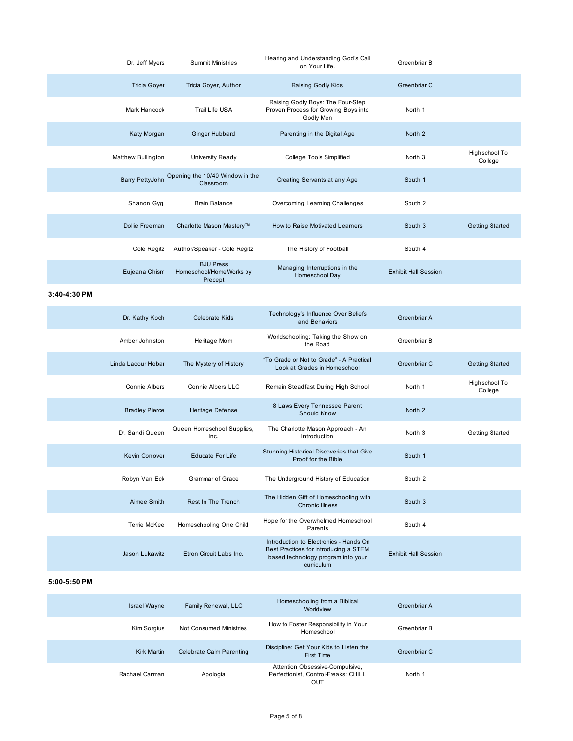| Dr. Jeff Myers            | <b>Summit Ministries</b>                               | Hearing and Understanding God's Call<br>on Your Life.                                  | Greenbriar B                |                          |
|---------------------------|--------------------------------------------------------|----------------------------------------------------------------------------------------|-----------------------------|--------------------------|
| <b>Tricia Goyer</b>       | Tricia Goyer, Author                                   | Raising Godly Kids                                                                     | Greenbriar C                |                          |
| Mark Hancock              | Trail Life USA                                         | Raising Godly Boys: The Four-Step<br>Proven Process for Growing Boys into<br>Godly Men | North 1                     |                          |
| Katy Morgan               | <b>Ginger Hubbard</b>                                  | Parenting in the Digital Age                                                           | North 2                     |                          |
| <b>Matthew Bullington</b> | University Ready                                       | <b>College Tools Simplified</b>                                                        | North <sub>3</sub>          | Highschool To<br>College |
| Barry PettyJohn           | Opening the 10/40 Window in the<br>Classroom           | Creating Servants at any Age                                                           | South 1                     |                          |
| Shanon Gygi               | <b>Brain Balance</b>                                   | Overcoming Learning Challenges                                                         | South 2                     |                          |
| Dollie Freeman            | Charlotte Mason Mastery™                               | How to Raise Motivated Learners                                                        | South 3                     | <b>Getting Started</b>   |
| Cole Regitz               | Author/Speaker - Cole Regitz                           | The History of Football                                                                | South 4                     |                          |
| Eujeana Chism             | <b>BJU Press</b><br>Homeschool/HomeWorks by<br>Precept | Managing Interruptions in the<br>Homeschool Day                                        | <b>Exhibit Hall Session</b> |                          |

**3:40-4:30 PM**

| Dr. Kathy Koch        | Celebrate Kids                     | Technology's Influence Over Beliefs<br>and Behaviors                                                                                | Greenbriar A                |                          |
|-----------------------|------------------------------------|-------------------------------------------------------------------------------------------------------------------------------------|-----------------------------|--------------------------|
| Amber Johnston        | Heritage Mom                       | Worldschooling: Taking the Show on<br>the Road                                                                                      | Greenbriar B                |                          |
| Linda Lacour Hobar    | The Mystery of History             | "To Grade or Not to Grade" - A Practical<br>Look at Grades in Homeschool                                                            | Greenbriar C                | <b>Getting Started</b>   |
| Connie Albers         | <b>Connie Albers LLC</b>           | Remain Steadfast During High School                                                                                                 | North 1                     | Highschool To<br>College |
| <b>Bradley Pierce</b> | Heritage Defense                   | 8 Laws Every Tennessee Parent<br>Should Know                                                                                        | North 2                     |                          |
| Dr. Sandi Queen       | Queen Homeschool Supplies,<br>Inc. | The Charlotte Mason Approach - An<br>Introduction                                                                                   | North <sub>3</sub>          | <b>Getting Started</b>   |
| <b>Kevin Conover</b>  | <b>Educate For Life</b>            | Stunning Historical Discoveries that Give<br>Proof for the Bible                                                                    | South 1                     |                          |
| Robyn Van Eck         | <b>Grammar of Grace</b>            | The Underground History of Education                                                                                                | South 2                     |                          |
| Aimee Smith           | Rest In The Trench                 | The Hidden Gift of Homeschooling with<br><b>Chronic Illness</b>                                                                     | South 3                     |                          |
| Terrie McKee          | Homeschooling One Child            | Hope for the Overwhelmed Homeschool<br>Parents                                                                                      | South 4                     |                          |
| Jason Lukawitz        | Etron Circuit Labs Inc.            | Introduction to Electronics - Hands On<br>Best Practices for introducing a STEM<br>based technology program into your<br>curriculum | <b>Exhibit Hall Session</b> |                          |
| 5:00-5:50 PM          |                                    |                                                                                                                                     |                             |                          |

| Israel Wayne       | Family Renewal, LLC             | Homeschooling from a Biblical<br>Worldview                                     | Greenbriar A |  |
|--------------------|---------------------------------|--------------------------------------------------------------------------------|--------------|--|
| Kim Sorgius        | Not Consumed Ministries         | How to Foster Responsibility in Your<br>Homeschool                             | Greenbriar B |  |
| <b>Kirk Martin</b> | <b>Celebrate Calm Parenting</b> | Discipline: Get Your Kids to Listen the<br>First Time                          | Greenbriar C |  |
| Rachael Carman     | Apologia                        | Attention Obsessive-Compulsive,<br>Perfectionist, Control-Freaks: CHILL<br>OUT | North 1      |  |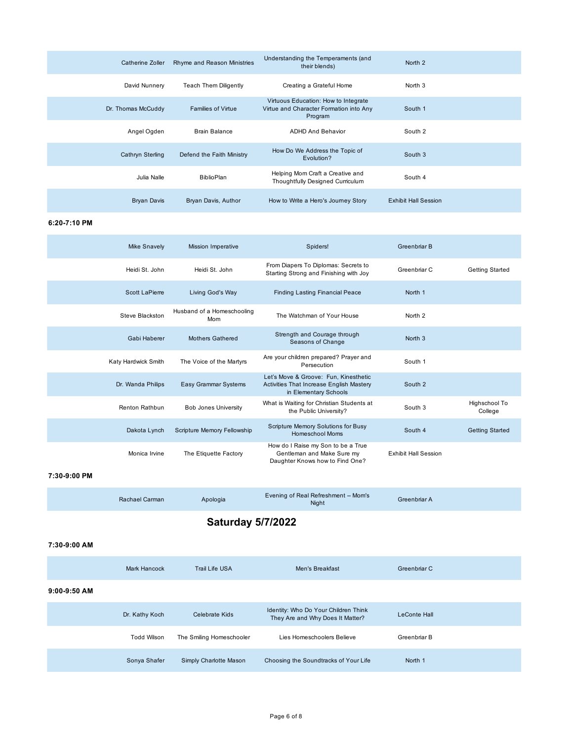| Catherine Zoller   | Rhyme and Reason Ministries  | Understanding the Temperaments (and<br>their blends)                                       | North 2                     |  |
|--------------------|------------------------------|--------------------------------------------------------------------------------------------|-----------------------------|--|
| David Nunnery      | <b>Teach Them Diligently</b> | Creating a Grateful Home                                                                   | North 3                     |  |
| Dr. Thomas McCuddy | <b>Families of Virtue</b>    | Virtuous Education: How to Integrate<br>Virtue and Character Formation into Any<br>Program | South 1                     |  |
| Angel Ogden        | <b>Brain Balance</b>         | <b>ADHD And Behavior</b>                                                                   | South 2                     |  |
| Cathryn Sterling   | Defend the Faith Ministry    | How Do We Address the Topic of<br>Evolution?                                               | South 3                     |  |
| Julia Nalle        | <b>BiblioPlan</b>            | Helping Mom Craft a Creative and<br>Thoughtfully Designed Curriculum                       | South 4                     |  |
| <b>Bryan Davis</b> | Bryan Davis, Author          | How to Write a Hero's Journey Story                                                        | <b>Exhibit Hall Session</b> |  |

### **6:20-7:10 PM**

| <b>Mike Snavely</b> | <b>Mission Imperative</b>         | Spiders!                                                                                                   | Greenbriar B                |                          |
|---------------------|-----------------------------------|------------------------------------------------------------------------------------------------------------|-----------------------------|--------------------------|
| Heidi St. John      | Heidi St. John                    | From Diapers To Diplomas: Secrets to<br>Starting Strong and Finishing with Joy                             | Greenbriar C                | Getting Started          |
| Scott LaPierre      | Living God's Way                  | <b>Finding Lasting Financial Peace</b>                                                                     | North 1                     |                          |
| Steve Blackston     | Husband of a Homeschooling<br>Mom | The Watchman of Your House                                                                                 | North <sub>2</sub>          |                          |
| Gabi Haberer        | <b>Mothers Gathered</b>           | Strength and Courage through<br>Seasons of Change                                                          | North <sub>3</sub>          |                          |
| Katy Hardwick Smith | The Voice of the Martyrs          | Are your children prepared? Prayer and<br>Persecution                                                      | South 1                     |                          |
| Dr. Wanda Philips   | Easy Grammar Systems              | Let's Move & Groove: Fun, Kinesthetic<br>Activities That Increase English Mastery<br>in Elementary Schools | South 2                     |                          |
| Renton Rathbun      | <b>Bob Jones University</b>       | What is Waiting for Christian Students at<br>the Public University?                                        | South 3                     | Highschool To<br>College |
| Dakota Lynch        | Scripture Memory Fellowship       | Scripture Memory Solutions for Busy<br><b>Homeschool Moms</b>                                              | South 4                     | <b>Getting Started</b>   |
| Monica Irvine       | The Etiquette Factory             | How do I Raise my Son to be a True<br>Gentleman and Make Sure my<br>Daughter Knows how to Find One?        | <b>Exhibit Hall Session</b> |                          |

### **7:30-9:00 PM**

| Rachael Carman | Apologia | Evening of Real Refreshment -- Mom's<br>Night | Greenbriar A |  |
|----------------|----------|-----------------------------------------------|--------------|--|
|----------------|----------|-----------------------------------------------|--------------|--|

# **Saturday 5/7/2022**

### **7:30-9:00 AM**

|                | Mark Hancock       | Trail Life USA           | Men's Breakfast                                                          | Greenbriar C        |  |
|----------------|--------------------|--------------------------|--------------------------------------------------------------------------|---------------------|--|
| $9:00-9:50$ AM |                    |                          |                                                                          |                     |  |
|                | Dr. Kathy Koch     | Celebrate Kids           | Identity: Who Do Your Children Think<br>They Are and Why Does It Matter? | <b>LeConte Hall</b> |  |
|                | <b>Todd Wilson</b> | The Smiling Homeschooler | Lies Homeschoolers Believe                                               | Greenbriar B        |  |
|                | Sonya Shafer       | Simply Charlotte Mason   | Choosing the Soundtracks of Your Life                                    | North 1             |  |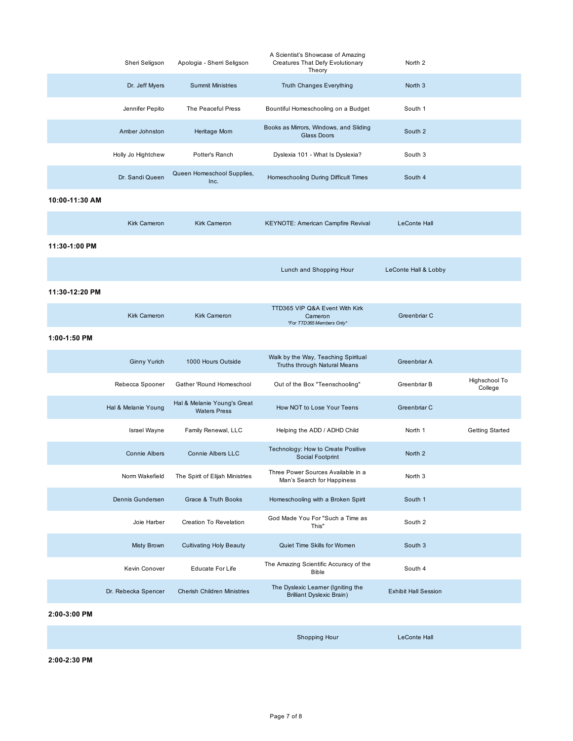|                | Sheri Seligson       | Apologia - Sherri Seligson                         | A Scientist's Showcase of Amazing<br>Creatures That Defy Evolutionary<br>Theory | North 2                     |                          |
|----------------|----------------------|----------------------------------------------------|---------------------------------------------------------------------------------|-----------------------------|--------------------------|
|                | Dr. Jeff Myers       | <b>Summit Ministries</b>                           | Truth Changes Everything                                                        | North <sub>3</sub>          |                          |
|                | Jennifer Pepito      | The Peaceful Press                                 | Bountiful Homeschooling on a Budget                                             | South 1                     |                          |
|                | Amber Johnston       | Heritage Mom                                       | Books as Mirrors, Windows, and Sliding<br><b>Glass Doors</b>                    | South 2                     |                          |
|                | Holly Jo Hightchew   | Potter's Ranch                                     | Dyslexia 101 - What Is Dyslexia?                                                | South 3                     |                          |
|                | Dr. Sandi Queen      | Queen Homeschool Supplies,<br>Inc.                 | Homeschooling During Difficult Times                                            | South 4                     |                          |
| 10:00-11:30 AM |                      |                                                    |                                                                                 |                             |                          |
|                | <b>Kirk Cameron</b>  | <b>Kirk Cameron</b>                                | KEYNOTE: American Campfire Revival                                              | <b>LeConte Hall</b>         |                          |
| 11:30-1:00 PM  |                      |                                                    |                                                                                 |                             |                          |
|                |                      |                                                    | Lunch and Shopping Hour                                                         | LeConte Hall & Lobby        |                          |
| 11:30-12:20 PM |                      |                                                    |                                                                                 |                             |                          |
|                | <b>Kirk Cameron</b>  | <b>Kirk Cameron</b>                                | TTD365 VIP Q&A Event With Kirk<br>Cameron<br>*For TTD365 Members Only*          | Greenbriar C                |                          |
| 1:00-1:50 PM   |                      |                                                    |                                                                                 |                             |                          |
|                | <b>Ginny Yurich</b>  | 1000 Hours Outside                                 | Walk by the Way, Teaching Spiritual<br>Truths through Natural Means             | Greenbriar A                |                          |
|                | Rebecca Spooner      | Gather 'Round Homeschool                           | Out of the Box "Teenschooling"                                                  | Greenbriar B                | Highschool To<br>College |
|                | Hal & Melanie Young  | Hal & Melanie Young's Great<br><b>Waters Press</b> | How NOT to Lose Your Teens                                                      | Greenbriar C                |                          |
|                | <b>Israel Wayne</b>  | Family Renewal, LLC                                | Helping the ADD / ADHD Child                                                    | North 1                     | <b>Getting Started</b>   |
|                | <b>Connie Albers</b> | <b>Connie Albers LLC</b>                           | Technology: How to Create Positive<br>Social Footprint                          | North <sub>2</sub>          |                          |
|                | Norm Wakefield       | The Spirit of Elijah Ministries                    | Three Power Sources Available in a<br>Man's Search for Happiness                | North 3                     |                          |
|                | Dennis Gundersen     | Grace & Truth Books                                | Homeschooling with a Broken Spirit                                              | South 1                     |                          |
|                | Joie Harber          | Creation To Revelation                             | God Made You For "Such a Time as<br>This"                                       | South 2                     |                          |
|                | <b>Misty Brown</b>   | <b>Cultivating Holy Beauty</b>                     | Quiet Time Skills for Women                                                     | South 3                     |                          |
|                | Kevin Conover        | <b>Educate For Life</b>                            | The Amazing Scientific Accuracy of the<br><b>Bible</b>                          | South 4                     |                          |
|                | Dr. Rebecka Spencer  | <b>Cherish Children Ministries</b>                 | The Dyslexic Learner (Igniting the<br><b>Brilliant Dyslexic Brain)</b>          | <b>Exhibit Hall Session</b> |                          |
| 2.00.2.00.01   |                      |                                                    |                                                                                 |                             |                          |

**2:00-3:00 PM**

Shopping Hour **LeConte Hall** 

**2:00-2:30 PM**